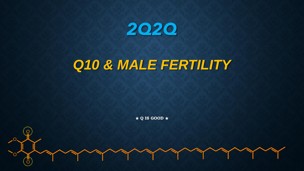

## *Q10 & MALE FERTILITY*

★ **Q IS GOOD** ★

O

O

O

O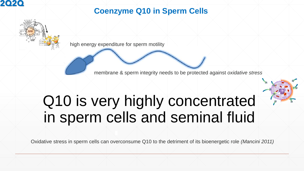

## **Coenzyme Q10 in Sperm Cells**



high energy expenditure for sperm motility

membrane & sperm integrity needs to be protected against *oxidative stress*

# Q10 is very highly concentrated in sperm cells and seminal fluid

Oxidative stress in sperm cells can overconsume Q10 to the detriment of its bioenergetic role *(Mancini 2011)*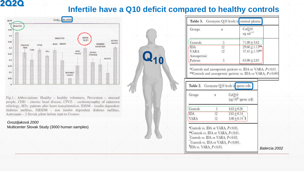## **Infertile have a Q10 deficit compared to healthy controls**

 $Q_{10}$ 



Fig.1.: Abbreviations: Healthy - healthy volunteers, Prevention - stressed people, CHD - chronic heart disease, CPUE - cardiomyoapthy of unknown ethiology, HTx- patients after heart transplantation, IDDM - insulin dependent diabetes mellitus, NIDDM - non insulin dependent diabetes mellitus, Astronauts - 2 Slovak pilots before start to Cosmos

#### *Gvozdjaková 2000*

Multicenter Slovak Study (3000 human samples)

| <b>Groups</b>                  | $\boldsymbol{n}$                                       |                                                                       | CoQ10<br>$ng$ m $l^{-1}$                 |                                                             |  |
|--------------------------------|--------------------------------------------------------|-----------------------------------------------------------------------|------------------------------------------|-------------------------------------------------------------|--|
| Controls                       | 5.                                                     |                                                                       | $71.80 \pm 3.62$                         |                                                             |  |
| <b>IDA</b>                     | ïÿ                                                     |                                                                       | $29.66 + 1.13$ **                        |                                                             |  |
| <b>VARA</b>                    | $12^{\circ}$                                           |                                                                       | $37.41 \pm 1.70$ **                      |                                                             |  |
| Azoospermic                    |                                                        |                                                                       |                                          |                                                             |  |
| Patients                       | 5.                                                     |                                                                       | $63.80 \pm 2.85$                         |                                                             |  |
|                                | Coenzyme Q10 levels in sperm cells<br>$\boldsymbol{n}$ | **Controls and azoospermic patients vs. IDA or VARA, P<0.001<br>CoQ10 |                                          | *Controls and azoospermic patients vs. IDA or VARA, P<0.01. |  |
| Table 2.<br>Groups<br>Controls | 5                                                      | $4.63 \pm 0.26$                                                       | $\langle$ ng/10 <sup>6</sup> sperm cell) |                                                             |  |
| <b>IDA</b>                     | <br>12                                                 | $2.65 \pm 0.14$                                                       |                                          |                                                             |  |
| <b>VARA</b>                    | 12                                                     | $3.08 \pm 0.14$ \$                                                    |                                          |                                                             |  |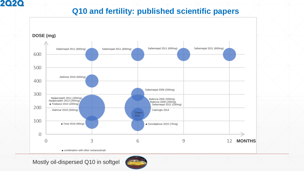## **Q10 and fertility: published scientific papers**



Mostly oil-dispersed Q10 in softgel

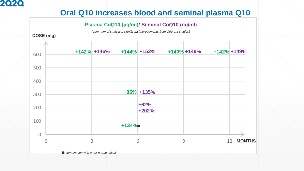## **Oral Q10 increases blood and seminal plasma Q10**

#### **Plasma CoQ10 (µg/ml)/ Seminal CoQ10 (ng/ml)**

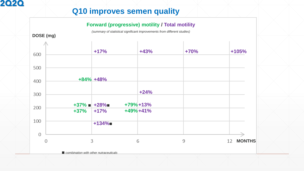## **Q10 improves semen quality**

#### **Forward (progressive) motility / Total motility**

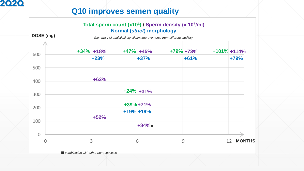## **Q10 improves semen quality**

#### **Total sperm count (x10<sup>6</sup> ) / Sperm density (x 10<sup>6</sup> /ml) Normal (***strict***) morphology**

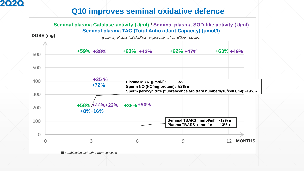## **Q10 improves seminal oxidative defence**

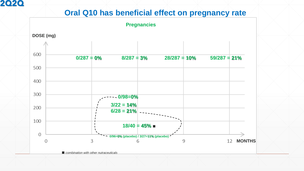### **Oral Q10 has beneficial effect on pregnancy rate**

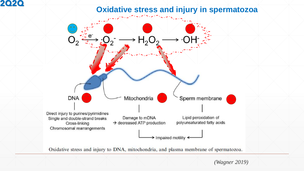## **Oxidative stress and injury in spermatozoa**



Oxidative stress and injury to DNA, mitochondria, and plasma membrane of spermatozoa.

*(Wagner 2019)*